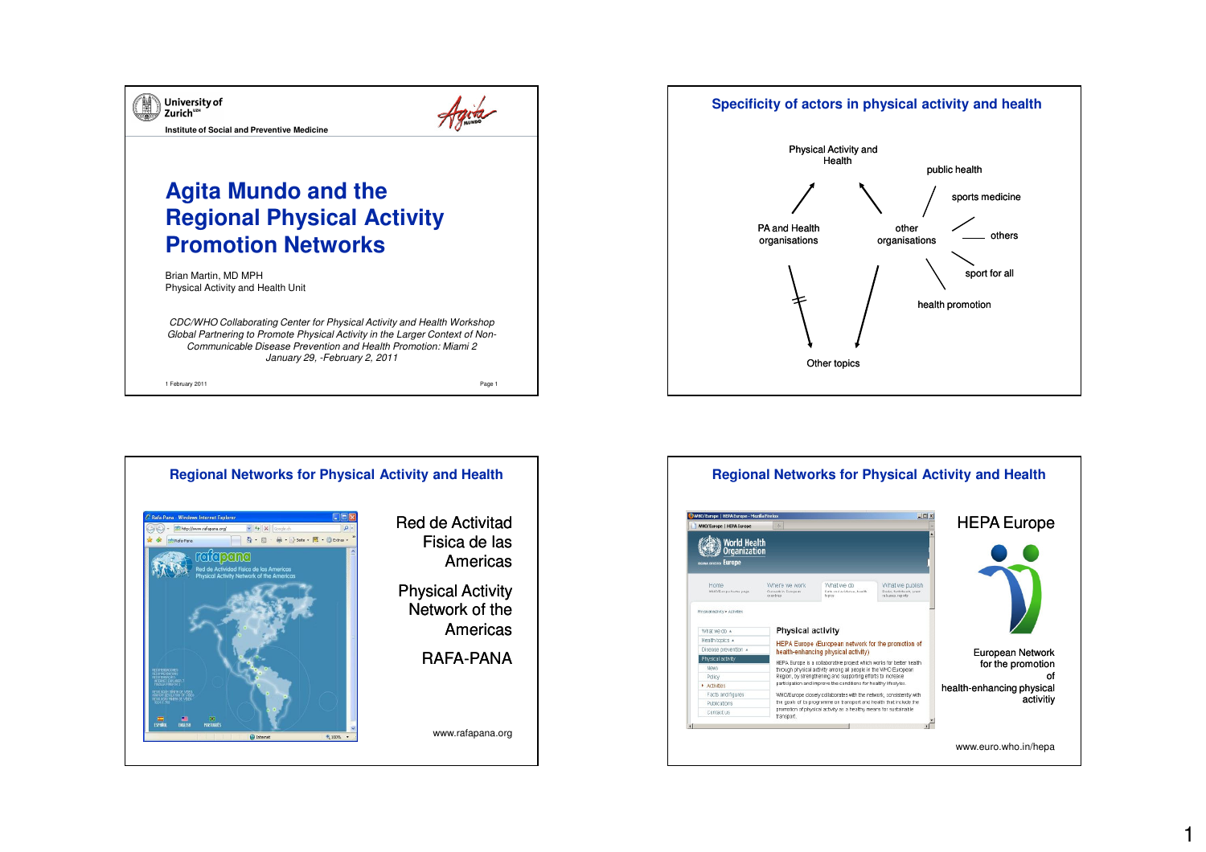







1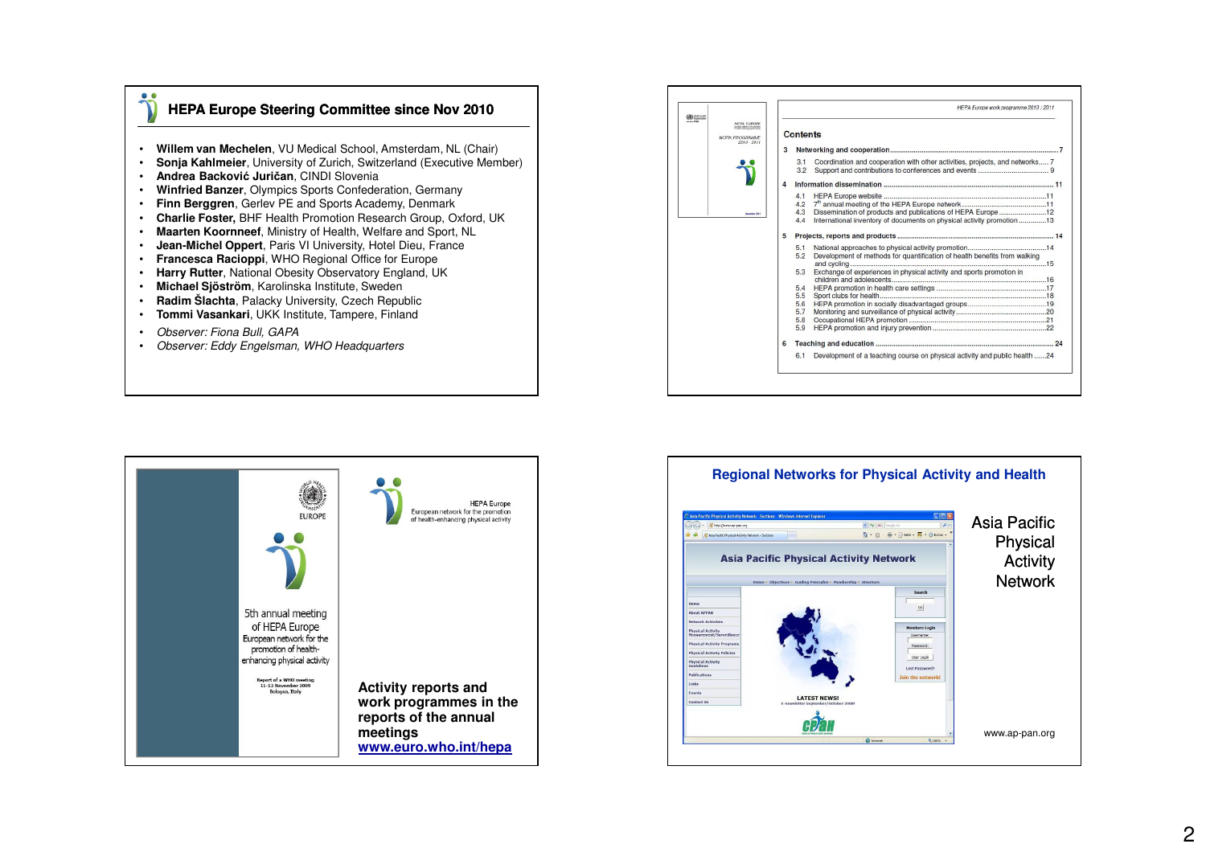## **HEPA Europe Steering Committee since Nov 2010**

- •**Willem van Mechelen**, VU Medical School, Amsterdam, NL (Chair)
- •**Sonja Kahlmeier**, University of Zurich, Switzerland (Executive Member)
- •**Andrea Backović Juričan**, CINDI Slovenia
- **Winfried Banzer**, Olympics Sports Confederation, Germany•
- **Finn Berggren**, Gerlev PE and Sports Academy, Denmark•
- **Charlie Foster,** BHF Health Promotion Research Group, Oxford, UK•
- **Maarten Koornneef**, Ministry of Health, Welfare and Sport, NL
- •**Jean-Michel Oppert**, Paris VI University, Hotel Dieu, France
- **Francesca Racioppi**, WHO Regional Office for Europe
- **Harry Rutter**, National Obesity Observatory England, UK•
- •**Michael Sjöström**, Karolinska Institute, Sweden
- **Radim Šlachta**, Palacky University, Czech Republic•
- **Tommi Vasankari**, UKK Institute, Tampere, Finland•
- •Observer: Fiona Bull, GAPA

 $\bullet$ 

• Observer: Eddy Engelsman, WHO Headquarters

| HEPA Europe work programme 2010 / 2011                                                                                                                                 |   |
|------------------------------------------------------------------------------------------------------------------------------------------------------------------------|---|
| <b>Contents</b>                                                                                                                                                        |   |
|                                                                                                                                                                        | 3 |
| Coordination and cooperation with other activities, projects, and networks 7<br>3.1<br>3.2                                                                             |   |
|                                                                                                                                                                        | Δ |
| 4.1<br>4.2<br>4.3<br>Dissemination of products and publications of HEPA Europe12<br>International inventory of documents on physical activity promotion 13<br>4.4      |   |
|                                                                                                                                                                        | 5 |
| 5.1<br>5.2<br>Development of methods for quantification of health benefits from walking<br>Exchange of experiences in physical activity and sports promotion in<br>5.3 |   |
| 5.4<br>5.5                                                                                                                                                             |   |
| 5.6<br>5.7<br>5.8                                                                                                                                                      |   |
| 5.9                                                                                                                                                                    |   |
|                                                                                                                                                                        | 6 |
| Development of a teaching course on physical activity and public health 24<br>6.1                                                                                      |   |



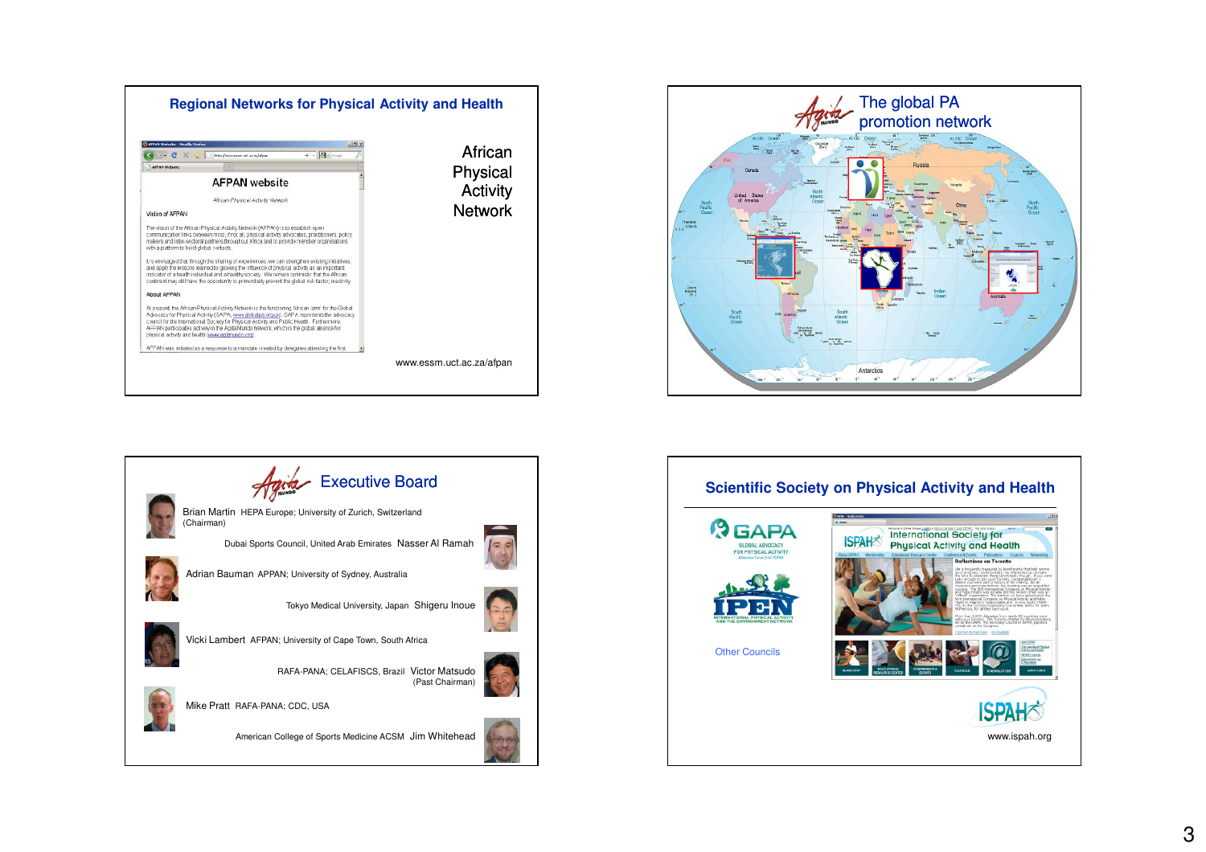





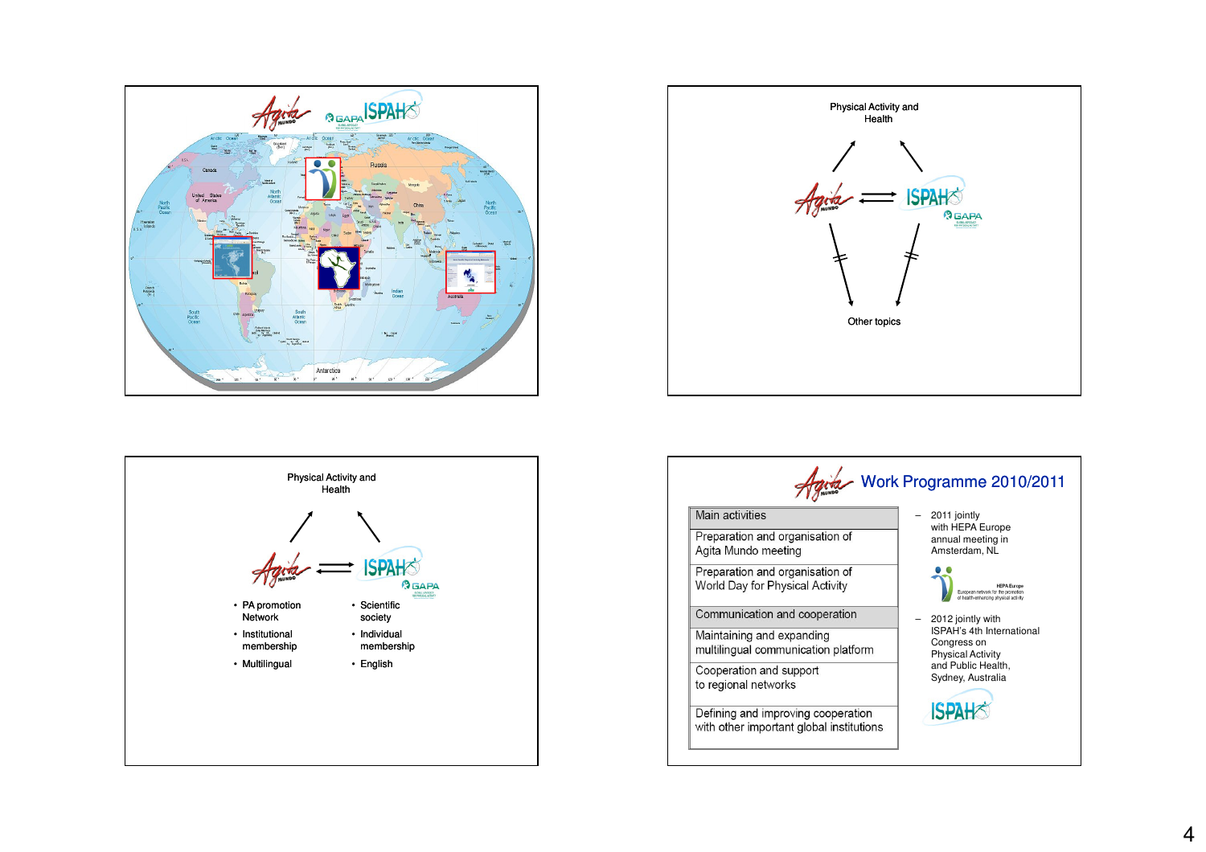